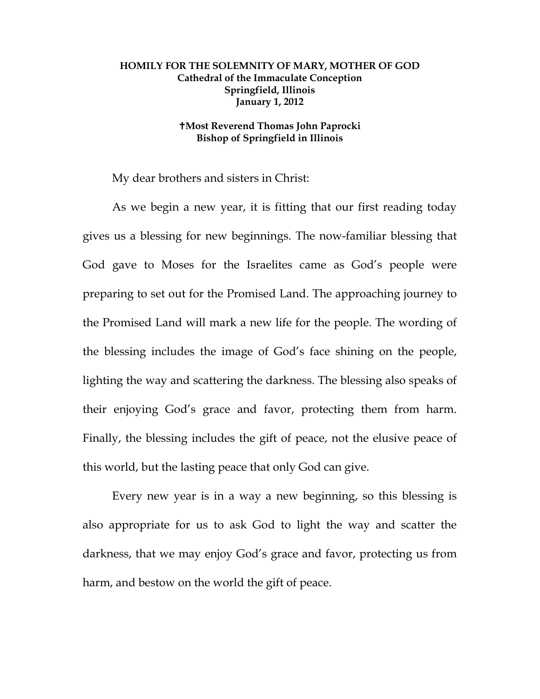## **HOMILY FOR THE SOLEMNITY OF MARY, MOTHER OF GOD Cathedral of the Immaculate Conception Springfield, Illinois January 1, 2012**

## **Most Reverend Thomas John Paprocki Bishop of Springfield in Illinois**

My dear brothers and sisters in Christ:

 As we begin a new year, it is fitting that our first reading today gives us a blessing for new beginnings. The now-familiar blessing that God gave to Moses for the Israelites came as God's people were preparing to set out for the Promised Land. The approaching journey to the Promised Land will mark a new life for the people. The wording of the blessing includes the image of God's face shining on the people, lighting the way and scattering the darkness. The blessing also speaks of their enjoying God's grace and favor, protecting them from harm. Finally, the blessing includes the gift of peace, not the elusive peace of this world, but the lasting peace that only God can give.

 Every new year is in a way a new beginning, so this blessing is also appropriate for us to ask God to light the way and scatter the darkness, that we may enjoy God's grace and favor, protecting us from harm, and bestow on the world the gift of peace.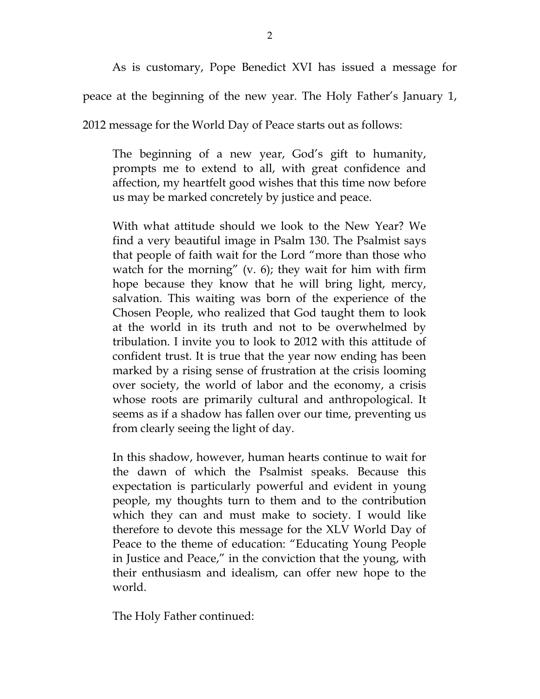As is customary, Pope Benedict XVI has issued a message for

peace at the beginning of the new year. The Holy Father's January 1,

2012 message for the World Day of Peace starts out as follows:

The beginning of a new year, God's gift to humanity, prompts me to extend to all, with great confidence and affection, my heartfelt good wishes that this time now before us may be marked concretely by justice and peace.

With what attitude should we look to the New Year? We find a very beautiful image in Psalm 130. The Psalmist says that people of faith wait for the Lord "more than those who watch for the morning"  $(v, 6)$ ; they wait for him with firm hope because they know that he will bring light, mercy, salvation. This waiting was born of the experience of the Chosen People, who realized that God taught them to look at the world in its truth and not to be overwhelmed by tribulation. I invite you to look to 2012 with this attitude of confident trust. It is true that the year now ending has been marked by a rising sense of frustration at the crisis looming over society, the world of labor and the economy, a crisis whose roots are primarily cultural and anthropological. It seems as if a shadow has fallen over our time, preventing us from clearly seeing the light of day.

In this shadow, however, human hearts continue to wait for the dawn of which the Psalmist speaks. Because this expectation is particularly powerful and evident in young people, my thoughts turn to them and to the contribution which they can and must make to society. I would like therefore to devote this message for the XLV World Day of Peace to the theme of education: "Educating Young People in Justice and Peace," in the conviction that the young, with their enthusiasm and idealism, can offer new hope to the world.

The Holy Father continued: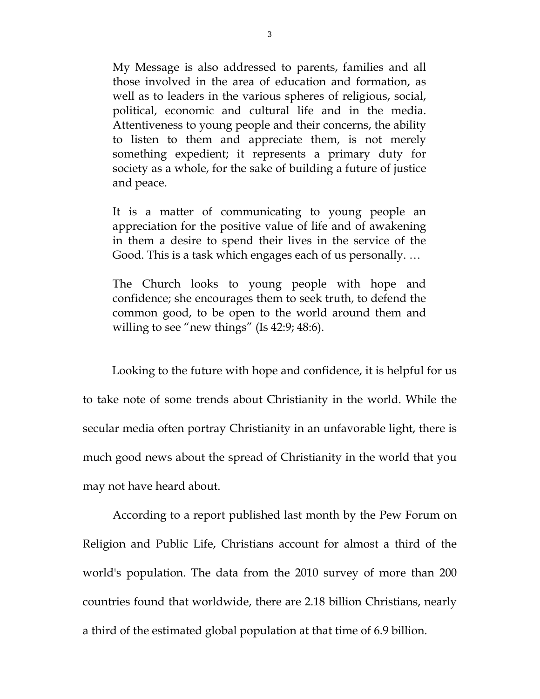My Message is also addressed to parents, families and all those involved in the area of education and formation, as well as to leaders in the various spheres of religious, social, political, economic and cultural life and in the media. Attentiveness to young people and their concerns, the ability to listen to them and appreciate them, is not merely something expedient; it represents a primary duty for society as a whole, for the sake of building a future of justice and peace.

It is a matter of communicating to young people an appreciation for the positive value of life and of awakening in them a desire to spend their lives in the service of the Good. This is a task which engages each of us personally. …

The Church looks to young people with hope and confidence; she encourages them to seek truth, to defend the common good, to be open to the world around them and willing to see "new things" (Is 42:9; 48:6).

 Looking to the future with hope and confidence, it is helpful for us to take note of some trends about Christianity in the world. While the secular media often portray Christianity in an unfavorable light, there is much good news about the spread of Christianity in the world that you may not have heard about.

According to a report published last month by the Pew Forum on Religion and Public Life, Christians account for almost a third of the world's population. The data from the 2010 survey of more than 200 countries found that worldwide, there are 2.18 billion Christians, nearly a third of the estimated global population at that time of 6.9 billion.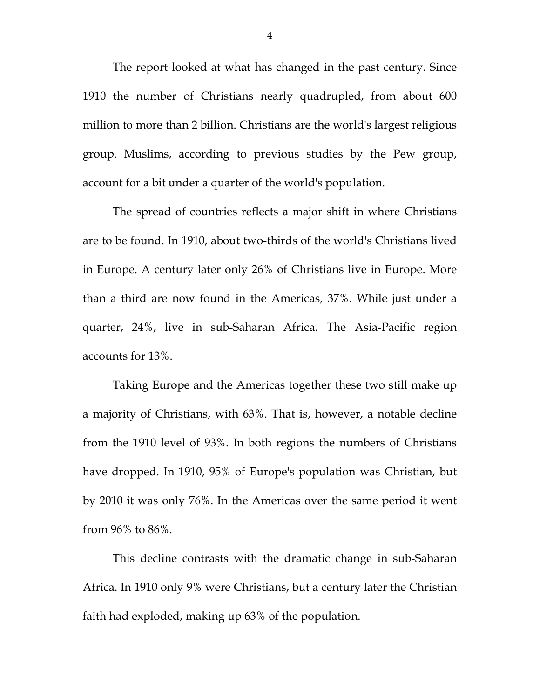The report looked at what has changed in the past century. Since 1910 the number of Christians nearly quadrupled, from about 600 million to more than 2 billion. Christians are the world's largest religious group. Muslims, according to previous studies by the Pew group, account for a bit under a quarter of the world's population.

The spread of countries reflects a major shift in where Christians are to be found. In 1910, about two-thirds of the world's Christians lived in Europe. A century later only 26% of Christians live in Europe. More than a third are now found in the Americas, 37%. While just under a quarter, 24%, live in sub-Saharan Africa. The Asia-Pacific region accounts for 13%.

Taking Europe and the Americas together these two still make up a majority of Christians, with 63%. That is, however, a notable decline from the 1910 level of 93%. In both regions the numbers of Christians have dropped. In 1910, 95% of Europe's population was Christian, but by 2010 it was only 76%. In the Americas over the same period it went from 96% to 86%.

This decline contrasts with the dramatic change in sub-Saharan Africa. In 1910 only 9% were Christians, but a century later the Christian faith had exploded, making up 63% of the population.

4